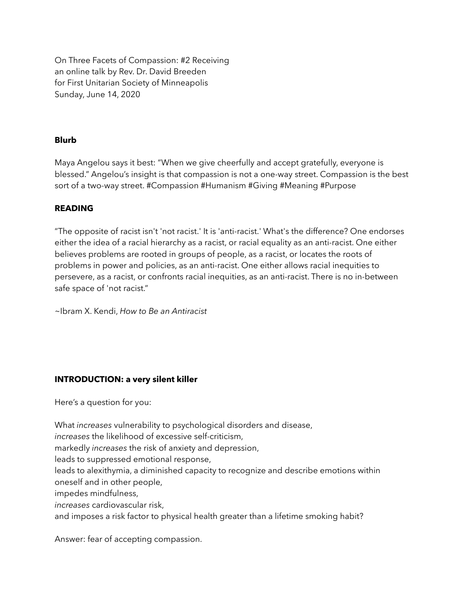On Three Facets of Compassion: #2 Receiving an online talk by Rev. Dr. David Breeden for First Unitarian Society of Minneapolis Sunday, June 14, 2020

# **Blurb**

Maya Angelou says it best: "When we give cheerfully and accept gratefully, everyone is blessed." Angelou's insight is that compassion is not a one-way street. Compassion is the best sort of a two-way street. #Compassion #Humanism #Giving #Meaning #Purpose

## **READING**

"The opposite of racist isn't 'not racist.' It is 'anti-racist.' What's the difference? One endorses either the idea of a racial hierarchy as a racist, or racial equality as an anti-racist. One either believes problems are rooted in groups of people, as a racist, or locates the roots of problems in power and policies, as an anti-racist. One either allows racial inequities to persevere, as a racist, or confronts racial inequities, as an anti-racist. There is no in-between safe space of 'not racist."

~Ibram X. Kendi, *How to Be an Antiracist*

## **INTRODUCTION: a very silent killer**

Here's a question for you:

What *increases* vulnerability to psychological disorders and disease,

*increases* the likelihood of excessive self-criticism,

markedly *increases* the risk of anxiety and depression,

leads to suppressed emotional response,

leads to alexithymia, a diminished capacity to recognize and describe emotions within oneself and in other people,

impedes mindfulness,

*increases* cardiovascular risk,

and imposes a risk factor to physical health greater than a lifetime smoking habit?

Answer: fear of accepting compassion.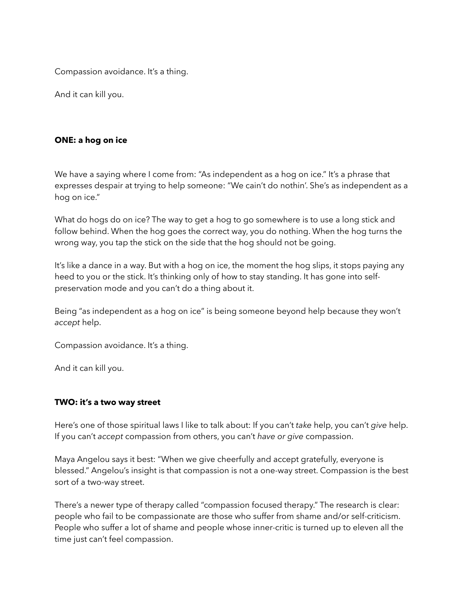Compassion avoidance. It's a thing.

And it can kill you.

## **ONE: a hog on ice**

We have a saying where I come from: "As independent as a hog on ice." It's a phrase that expresses despair at trying to help someone: "We cain't do nothin'. She's as independent as a hog on ice."

What do hogs do on ice? The way to get a hog to go somewhere is to use a long stick and follow behind. When the hog goes the correct way, you do nothing. When the hog turns the wrong way, you tap the stick on the side that the hog should not be going.

It's like a dance in a way. But with a hog on ice, the moment the hog slips, it stops paying any heed to you or the stick. It's thinking only of how to stay standing. It has gone into selfpreservation mode and you can't do a thing about it.

Being "as independent as a hog on ice" is being someone beyond help because they won't *accept* help.

Compassion avoidance. It's a thing.

And it can kill you.

#### **TWO: it's a two way street**

Here's one of those spiritual laws I like to talk about: If you can't *take* help, you can't *give* help. If you can't *accept* compassion from others, you can't *have or give* compassion.

Maya Angelou says it best: "When we give cheerfully and accept gratefully, everyone is blessed." Angelou's insight is that compassion is not a one-way street. Compassion is the best sort of a two-way street.

There's a newer type of therapy called "compassion focused therapy." The research is clear: people who fail to be compassionate are those who suffer from shame and/or self-criticism. People who suffer a lot of shame and people whose inner-critic is turned up to eleven all the time just can't feel compassion.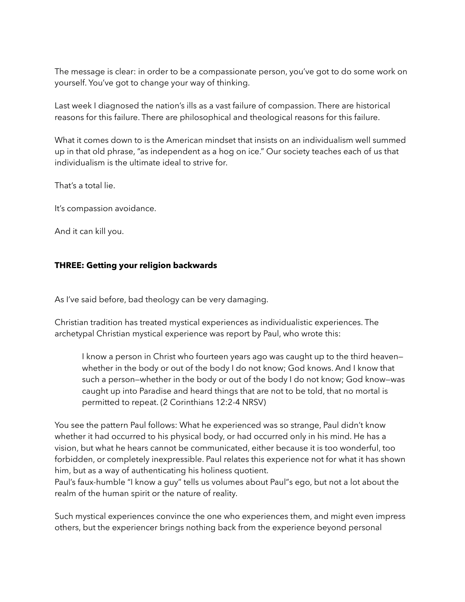The message is clear: in order to be a compassionate person, you've got to do some work on yourself. You've got to change your way of thinking.

Last week I diagnosed the nation's ills as a vast failure of compassion. There are historical reasons for this failure. There are philosophical and theological reasons for this failure.

What it comes down to is the American mindset that insists on an individualism well summed up in that old phrase, "as independent as a hog on ice." Our society teaches each of us that individualism is the ultimate ideal to strive for.

That's a total lie.

It's compassion avoidance.

And it can kill you.

# **THREE: Getting your religion backwards**

As I've said before, bad theology can be very damaging.

Christian tradition has treated mystical experiences as individualistic experiences. The archetypal Christian mystical experience was report by Paul, who wrote this:

I know a person in Christ who fourteen years ago was caught up to the third heaven whether in the body or out of the body I do not know; God knows. And I know that such a person—whether in the body or out of the body I do not know; God know—was caught up into Paradise and heard things that are not to be told, that no mortal is permitted to repeat. (2 Corinthians 12:2-4 NRSV)

You see the pattern Paul follows: What he experienced was so strange, Paul didn't know whether it had occurred to his physical body, or had occurred only in his mind. He has a vision, but what he hears cannot be communicated, either because it is too wonderful, too forbidden, or completely inexpressible. Paul relates this experience not for what it has shown him, but as a way of authenticating his holiness quotient.

Paul's faux-humble "I know a guy" tells us volumes about Paul"s ego, but not a lot about the realm of the human spirit or the nature of reality.

Such mystical experiences convince the one who experiences them, and might even impress others, but the experiencer brings nothing back from the experience beyond personal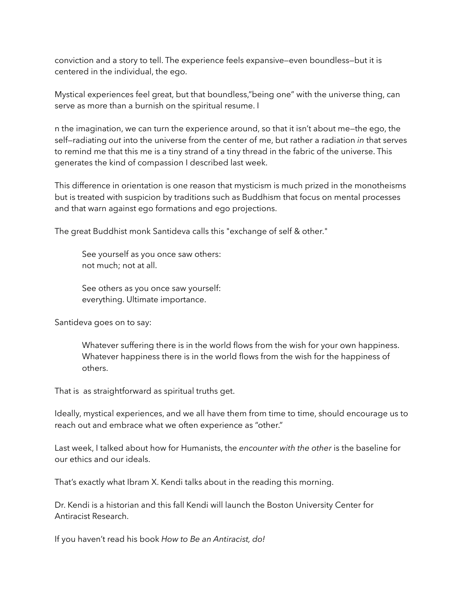conviction and a story to tell. The experience feels expansive—even boundless—but it is centered in the individual, the ego.

Mystical experiences feel great, but that boundless,"being one" with the universe thing, can serve as more than a burnish on the spiritual resume. I

n the imagination, we can turn the experience around, so that it isn't about me—the ego, the self—radiating *out* into the universe from the center of me, but rather a radiation *in* that serves to remind me that this me is a tiny strand of a tiny thread in the fabric of the universe. This generates the kind of compassion I described last week.

This difference in orientation is one reason that mysticism is much prized in the monotheisms but is treated with suspicion by traditions such as Buddhism that focus on mental processes and that warn against ego formations and ego projections.

The great Buddhist monk Santideva calls this "exchange of self & other."

See yourself as you once saw others: not much; not at all.

See others as you once saw yourself: everything. Ultimate importance.

Santideva goes on to say:

Whatever suffering there is in the world flows from the wish for your own happiness. Whatever happiness there is in the world flows from the wish for the happiness of others.

That is as straightforward as spiritual truths get.

Ideally, mystical experiences, and we all have them from time to time, should encourage us to reach out and embrace what we often experience as "other."

Last week, I talked about how for Humanists, the *encounter with the other* is the baseline for our ethics and our ideals.

That's exactly what Ibram X. Kendi talks about in the reading this morning.

Dr. Kendi is a historian and this fall Kendi will launch the Boston University Center for Antiracist Research.

If you haven't read his book *How to Be an Antiracist, do!*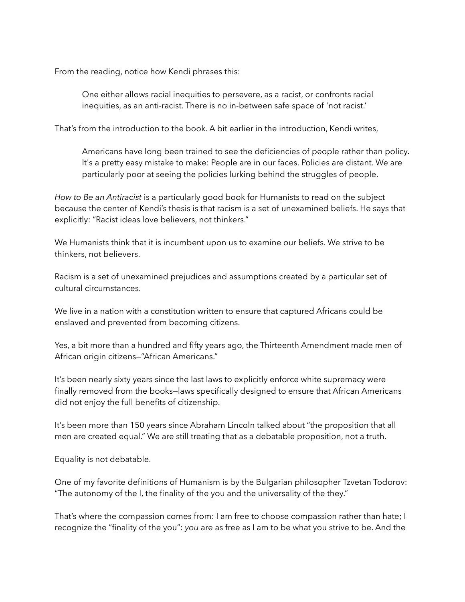From the reading, notice how Kendi phrases this:

One either allows racial inequities to persevere, as a racist, or confronts racial inequities, as an anti-racist. There is no in-between safe space of 'not racist.'

That's from the introduction to the book. A bit earlier in the introduction, Kendi writes,

Americans have long been trained to see the deficiencies of people rather than policy. It's a pretty easy mistake to make: People are in our faces. Policies are distant. We are particularly poor at seeing the policies lurking behind the struggles of people.

*How to Be an Antiracist* is a particularly good book for Humanists to read on the subject because the center of Kendi's thesis is that racism is a set of unexamined beliefs. He says that explicitly: "Racist ideas love believers, not thinkers."

We Humanists think that it is incumbent upon us to examine our beliefs. We strive to be thinkers, not believers.

Racism is a set of unexamined prejudices and assumptions created by a particular set of cultural circumstances.

We live in a nation with a constitution written to ensure that captured Africans could be enslaved and prevented from becoming citizens.

Yes, a bit more than a hundred and fifty years ago, the Thirteenth Amendment made men of African origin citizens—"African Americans."

It's been nearly sixty years since the last laws to explicitly enforce white supremacy were finally removed from the books—laws specifically designed to ensure that African Americans did not enjoy the full benefits of citizenship.

It's been more than 150 years since Abraham Lincoln talked about "the proposition that all men are created equal." We are still treating that as a debatable proposition, not a truth.

Equality is not debatable.

One of my favorite definitions of Humanism is by the Bulgarian philosopher Tzvetan Todorov: "The autonomy of the I, the finality of the you and the universality of the they."

That's where the compassion comes from: I am free to choose compassion rather than hate; I recognize the "finality of the you": *you* are as free as I am to be what you strive to be. And the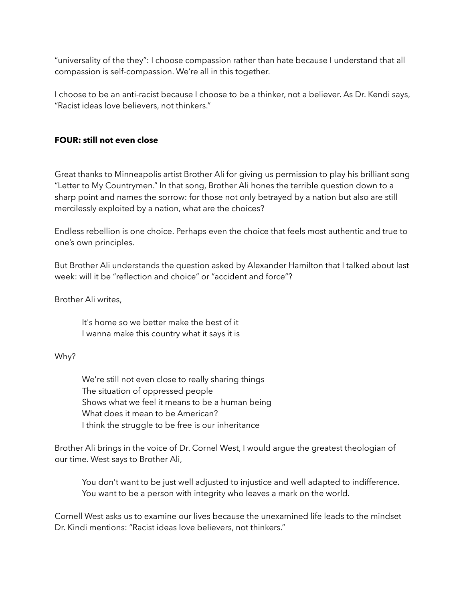"universality of the they": I choose compassion rather than hate because I understand that all compassion is self-compassion. We're all in this together.

I choose to be an anti-racist because I choose to be a thinker, not a believer. As Dr. Kendi says, "Racist ideas love believers, not thinkers."

## **FOUR: still not even close**

Great thanks to Minneapolis artist Brother Ali for giving us permission to play his brilliant song "Letter to My Countrymen." In that song, Brother Ali hones the terrible question down to a sharp point and names the sorrow: for those not only betrayed by a nation but also are still mercilessly exploited by a nation, what are the choices?

Endless rebellion is one choice. Perhaps even the choice that feels most authentic and true to one's own principles.

But Brother Ali understands the question asked by Alexander Hamilton that I talked about last week: will it be "reflection and choice" or "accident and force"?

Brother Ali writes,

[It's home so we better make the best of it](https://genius.com/Brother-ali-letter-to-my-countrymen-lyrics#note-1216998) [I wanna make this country what it says it is](https://genius.com/Brother-ali-letter-to-my-countrymen-lyrics#note-1216998)

## Why?

[We're still not even close to really sharing things](https://genius.com/Brother-ali-letter-to-my-countrymen-lyrics#note-4951570) [The situation of oppressed people](https://genius.com/Brother-ali-letter-to-my-countrymen-lyrics#note-4951570) [Shows what we feel it means to be a human being](https://genius.com/Brother-ali-letter-to-my-countrymen-lyrics#note-4951570) [What does it mean to be American?](https://genius.com/Brother-ali-letter-to-my-countrymen-lyrics#note-2433980) [I think the struggle to be free is our inheritance](https://genius.com/Brother-ali-letter-to-my-countrymen-lyrics#note-2433980)

Brother Ali brings in the voice of Dr. Cornel West, I would argue the greatest theologian of our time. West says to Brother Ali,

You don't want to be just well adjusted to injustice and well adapted to indifference. You want to be a person with integrity who leaves a mark on the world.

Cornell West asks us to examine our lives because the unexamined life leads to the mindset Dr. Kindi mentions: "Racist ideas love believers, not thinkers."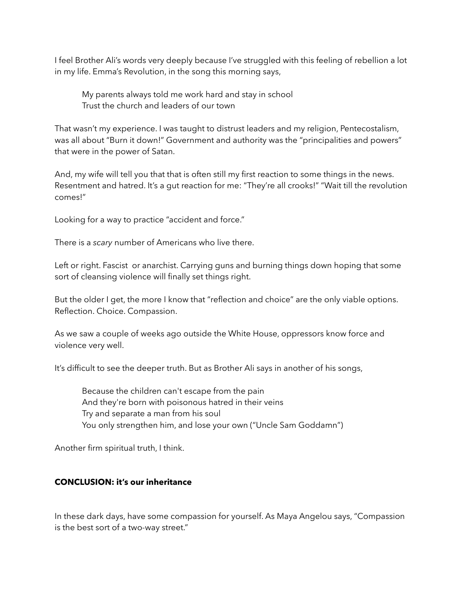I feel Brother Ali's words very deeply because I've struggled with this feeling of rebellion a lot in my life. Emma's Revolution, in the song this morning says,

My parents always told me work hard and stay in school Trust the church and leaders of our town

That wasn't my experience. I was taught to distrust leaders and my religion, Pentecostalism, was all about "Burn it down!" Government and authority was the "principalities and powers" that were in the power of Satan.

And, my wife will tell you that that is often still my first reaction to some things in the news. Resentment and hatred. It's a gut reaction for me: "They're all crooks!" "Wait till the revolution comes!"

Looking for a way to practice "accident and force."

There is a *scary* number of Americans who live there.

Left or right. Fascist or anarchist. Carrying guns and burning things down hoping that some sort of cleansing violence will finally set things right.

But the older I get, the more I know that "reflection and choice" are the only viable options. Reflection. Choice. Compassion.

As we saw a couple of weeks ago outside the White House, oppressors know force and violence very well.

It's difficult to see the deeper truth. But as Brother Ali says in another of his songs,

Because the children can't escape from the pain And they're born with poisonous hatred in their veins Try and separate a man from his soul You only strengthen him, and lose your own ("Uncle Sam Goddamn")

Another firm spiritual truth, I think.

## **CONCLUSION: it's our inheritance**

In these dark days, have some compassion for yourself. As Maya Angelou says, "Compassion is the best sort of a two-way street."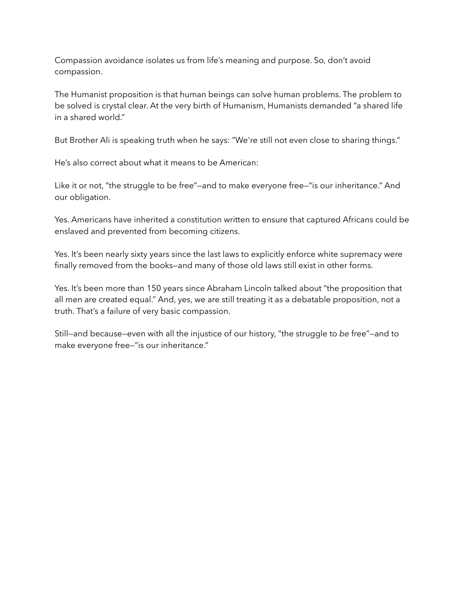Compassion avoidance isolates us from life's meaning and purpose. So, don't avoid compassion.

The Humanist proposition is that human beings can solve human problems. The problem to be solved is crystal clear. At the very birth of Humanism, Humanists demanded "a shared life in a shared world."

But Brother Ali is speaking truth when he says: "We're still not even close to sharing things."

He's also correct about what it means to be American:

Like it or not, "the struggle to be free"—and to make everyone free—"is our inheritance." And our obligation.

Yes. Americans have inherited a constitution written to ensure that captured Africans could be enslaved and prevented from becoming citizens.

Yes. It's been nearly sixty years since the last laws to explicitly enforce white supremacy were finally removed from the books—and many of those old laws still exist in other forms.

Yes. It's been more than 150 years since Abraham Lincoln talked about "the proposition that all men are created equal." And, yes, we are still treating it as a debatable proposition, not a truth. That's a failure of very basic compassion.

Still—and because—even with all the injustice of our history, "the struggle to *be* free"—and to make everyone free—"is our inheritance."